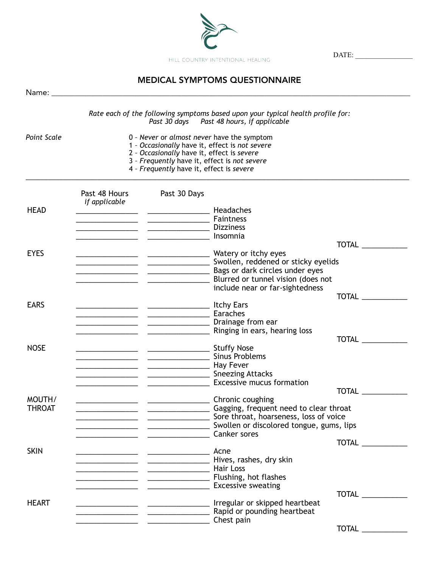

DATE: \_\_\_\_\_\_\_\_\_\_\_\_\_\_\_\_

## MEDICAL SYMPTOMS QUESTIONNAIRE

|                         |                                                                                                                                                                                                                                        |                                                       | Rate each of the following symptoms based upon your typical health profile for:<br>Past 30 days  Past 48 hours, if applicable                                                                           |              |  |
|-------------------------|----------------------------------------------------------------------------------------------------------------------------------------------------------------------------------------------------------------------------------------|-------------------------------------------------------|---------------------------------------------------------------------------------------------------------------------------------------------------------------------------------------------------------|--------------|--|
| Point Scale             | 0 - Never or almost never have the symptom<br>1 - Occasionally have it, effect is not severe<br>2 - Occasionally have it, effect is severe<br>3 - Frequently have it, effect is not severe<br>4 - Frequently have it, effect is severe |                                                       |                                                                                                                                                                                                         |              |  |
|                         | Past 48 Hours<br>if applicable                                                                                                                                                                                                         | Past 30 Days                                          |                                                                                                                                                                                                         |              |  |
| <b>HEAD</b>             |                                                                                                                                                                                                                                        |                                                       |                                                                                                                                                                                                         |              |  |
|                         |                                                                                                                                                                                                                                        |                                                       |                                                                                                                                                                                                         | TOTAL        |  |
| <b>EYES</b>             |                                                                                                                                                                                                                                        |                                                       | all Bags or dark circles under eyes<br>include near or far-sightedness                                                                                                                                  |              |  |
|                         |                                                                                                                                                                                                                                        |                                                       |                                                                                                                                                                                                         | TOTAL        |  |
| <b>EARS</b>             |                                                                                                                                                                                                                                        | <b>Example 2018</b> Caraches <b>Caraches</b>          | Drainage from ear<br><b>Example 20</b> Ringing in ears, hearing loss                                                                                                                                    |              |  |
|                         |                                                                                                                                                                                                                                        |                                                       |                                                                                                                                                                                                         | TOTAL        |  |
| <b>NOSE</b>             |                                                                                                                                                                                                                                        | <b>Manual Community Community Community</b> Hay Fever | <b>Example 21 Contract Contract Contract Contract Contract Contract Contract Contract Contract Contract Contract C</b>                                                                                  |              |  |
|                         |                                                                                                                                                                                                                                        |                                                       | <b>Excessive mucus formation</b> Excessive mucus formation                                                                                                                                              | TOTAL        |  |
| MOUTH/<br><b>THROAT</b> |                                                                                                                                                                                                                                        | Canker sores                                          | Chronic coughing Chronic coughing<br>Gagging, frequent need to clear throat<br><b>Example 20</b> Sore throat, hoarseness, loss of voice<br><b>Example 2018</b> Swollen or discolored tongue, gums, lips |              |  |
| <b>SKIN</b>             |                                                                                                                                                                                                                                        |                                                       |                                                                                                                                                                                                         | TOTAL        |  |
|                         | <b>Market Contract Contract Contract Contract Contract Contract Contract Contract Contract Contract Contract Contract Contract Contract Contract Contract Contract Contract Contract Contract Contract Contract Contract Contrac</b>   |                                                       | Mives, rashes, dry skin<br><b>Example 2016</b> Tushing, hot flashes<br><b>Excessive sweating CONSIDENT ASSESS CONSIDENT CONSIDENT</b>                                                                   |              |  |
|                         |                                                                                                                                                                                                                                        |                                                       |                                                                                                                                                                                                         | TOTAL        |  |
| <b>HEART</b>            | <b>Chest pain</b> 2004 and 2014 and 2016 and 2017 and 2018 and 2019 and 2019 and 2019 and 2019 and 2019 and 2019 and 20                                                                                                                |                                                       | <b>Napid or pounding heartbeat</b> example 2014 and 2015 and 2016 and 2017 and 2018 and 2018 and 2018 and 2018 and 20                                                                                   |              |  |
|                         |                                                                                                                                                                                                                                        |                                                       |                                                                                                                                                                                                         | <b>TOTAL</b> |  |